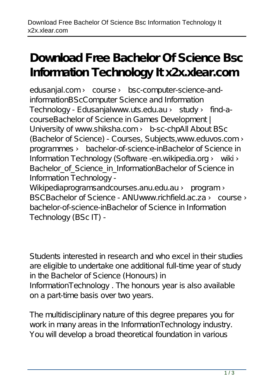## **Download Free Bachelor Of Science Bsc Information Technology It x2x.xlear.com**

edusanjal.com > course > bsc-computer-science-andinformationBScComputer Science and Information Technology - Edusanjalwww.uts.edu.au › study › find-acourseBachelor of Science in Games Development | University of www.shiksha.com › b-sc-chpAll About BSc (Bachelor of Science) - Courses, Subjects,www.eduvos.com › programmes › bachelor-of-science-inBachelor of Science in Information Technology (Software -en.wikipedia.org > wiki > Bachelor of Science in InformationBachelor of Science in Information Technology -

Wikipediaprogramsandcourses.anu.edu.au > program > BSCBachelor of Science - ANU www.richfield.ac.za > course > bachelor-of-science-inBachelor of Science in Information Technology (BSc IT) -

Students interested in research and who excel in their studies are eligible to undertake one additional full-time year of study in the Bachelor of Science (Honours) in InformationTechnology . The honours year is also available on a part-time basis over two years.

The multidisciplinary nature of this degree prepares you for work in many areas in the InformationTechnology industry. You will develop a broad theoretical foundation in various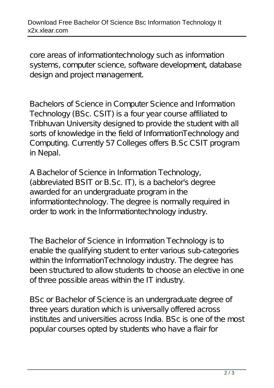core areas of informationtechnology such as information systems, computer science, software development, database design and project management.

Bachelors of Science in Computer Science and Information Technology (BSc. CSIT) is a four year course affiliated to Tribhuvan University designed to provide the student with all sorts of knowledge in the field of InformationTechnology and Computing. Currently 57 Colleges offers B.Sc CSIT program in Nepal.

A Bachelor of Science in Information Technology, (abbreviated BSIT or B.Sc. IT), is a bachelor's degree awarded for an undergraduate program in the informationtechnology. The degree is normally required in order to work in the Informationtechnology industry.

The Bachelor of Science in Information Technology is to enable the qualifying student to enter various sub-categories within the InformationTechnology industry. The degree has been structured to allow students to choose an elective in one of three possible areas within the IT industry.

BSc or Bachelor of Science is an undergraduate degree of three years duration which is universally offered across institutes and universities across India. BSc is one of the most popular courses opted by students who have a flair for